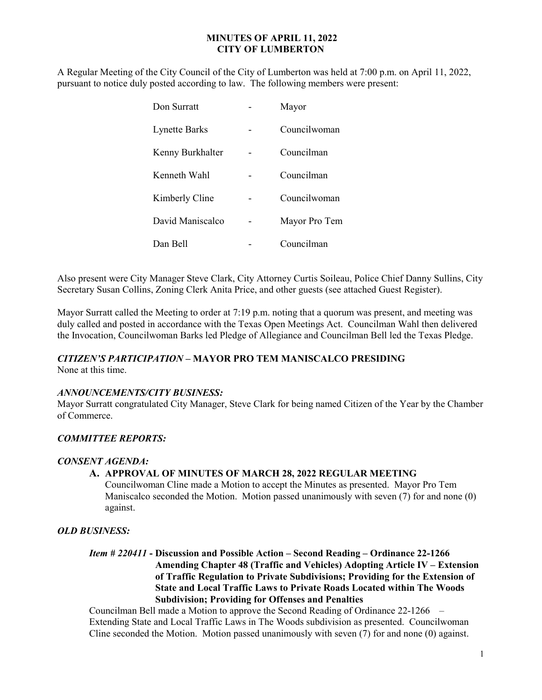## MINUTES OF APRIL 11, 2022 CITY OF LUMBERTON

A Regular Meeting of the City Council of the City of Lumberton was held at 7:00 p.m. on April 11, 2022, pursuant to notice duly posted according to law. The following members were present:

| Don Surratt          | Mayor         |
|----------------------|---------------|
| <b>Lynette Barks</b> | Councilwoman  |
| Kenny Burkhalter     | Councilman    |
| Kenneth Wahl         | Councilman    |
| Kimberly Cline       | Councilwoman  |
| David Maniscalco     | Mayor Pro Tem |
| Dan Bell             | Councilman    |

Also present were City Manager Steve Clark, City Attorney Curtis Soileau, Police Chief Danny Sullins, City Secretary Susan Collins, Zoning Clerk Anita Price, and other guests (see attached Guest Register).

Mayor Surratt called the Meeting to order at 7:19 p.m. noting that a quorum was present, and meeting was duly called and posted in accordance with the Texas Open Meetings Act. Councilman Wahl then delivered the Invocation, Councilwoman Barks led Pledge of Allegiance and Councilman Bell led the Texas Pledge.

### CITIZEN'S PARTICIPATION – MAYOR PRO TEM MANISCALCO PRESIDING

None at this time.

# ANNOUNCEMENTS/CITY BUSINESS:

Mayor Surratt congratulated City Manager, Steve Clark for being named Citizen of the Year by the Chamber of Commerce.

### COMMITTEE REPORTS:

### CONSENT AGENDA:

## A. APPROVAL OF MINUTES OF MARCH 28, 2022 REGULAR MEETING

Councilwoman Cline made a Motion to accept the Minutes as presented. Mayor Pro Tem Maniscalco seconded the Motion. Motion passed unanimously with seven (7) for and none (0) against.

### OLD BUSINESS:

 Item # 220411 - Discussion and Possible Action – Second Reading – Ordinance 22-1266 Amending Chapter 48 (Traffic and Vehicles) Adopting Article IV – Extension of Traffic Regulation to Private Subdivisions; Providing for the Extension of State and Local Traffic Laws to Private Roads Located within The Woods Subdivision; Providing for Offenses and Penalties

Councilman Bell made a Motion to approve the Second Reading of Ordinance 22-1266 – Extending State and Local Traffic Laws in The Woods subdivision as presented. Councilwoman Cline seconded the Motion. Motion passed unanimously with seven (7) for and none (0) against.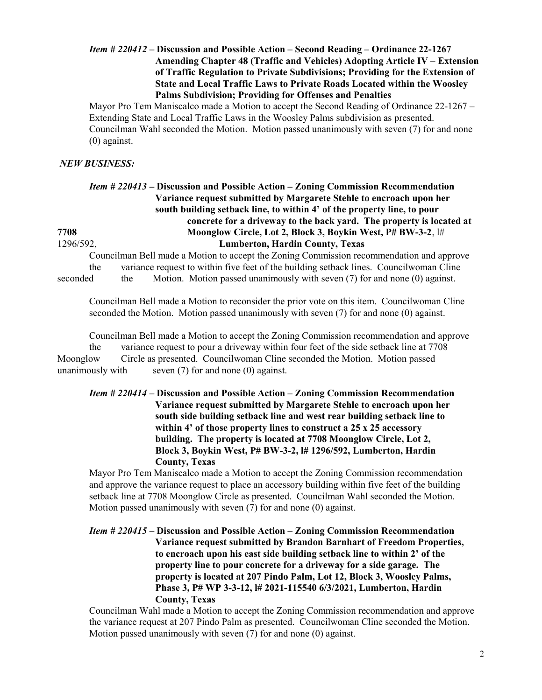## Item # 220412 – Discussion and Possible Action – Second Reading – Ordinance 22-1267 Amending Chapter 48 (Traffic and Vehicles) Adopting Article IV – Extension of Traffic Regulation to Private Subdivisions; Providing for the Extension of State and Local Traffic Laws to Private Roads Located within the Woosley Palms Subdivision; Providing for Offenses and Penalties

Mayor Pro Tem Maniscalco made a Motion to accept the Second Reading of Ordinance 22-1267 – Extending State and Local Traffic Laws in the Woosley Palms subdivision as presented. Councilman Wahl seconded the Motion. Motion passed unanimously with seven (7) for and none (0) against.

#### NEW BUSINESS:

# Item # 220413 – Discussion and Possible Action – Zoning Commission Recommendation Variance request submitted by Margarete Stehle to encroach upon her south building setback line, to within 4' of the property line, to pour concrete for a driveway to the back yard. The property is located at 7708 Moonglow Circle, Lot 2, Block 3, Boykin West, P# BW-3-2, l# 1296/592, Lumberton, Hardin County, Texas

Councilman Bell made a Motion to accept the Zoning Commission recommendation and approve the variance request to within five feet of the building setback lines. Councilwoman Cline seconded the Motion. Motion passed unanimously with seven (7) for and none (0) against.

 Councilman Bell made a Motion to reconsider the prior vote on this item. Councilwoman Cline seconded the Motion. Motion passed unanimously with seven (7) for and none (0) against.

 Councilman Bell made a Motion to accept the Zoning Commission recommendation and approve the variance request to pour a driveway within four feet of the side setback line at 7708 Moonglow Circle as presented. Councilwoman Cline seconded the Motion. Motion passed unanimously with seven  $(7)$  for and none  $(0)$  against.

Item # 220414 – Discussion and Possible Action – Zoning Commission Recommendation Variance request submitted by Margarete Stehle to encroach upon her south side building setback line and west rear building setback line to within 4' of those property lines to construct a 25 x 25 accessory building. The property is located at 7708 Moonglow Circle, Lot 2, Block 3, Boykin West, P# BW-3-2, l# 1296/592, Lumberton, Hardin County, Texas

Mayor Pro Tem Maniscalco made a Motion to accept the Zoning Commission recommendation and approve the variance request to place an accessory building within five feet of the building setback line at 7708 Moonglow Circle as presented. Councilman Wahl seconded the Motion. Motion passed unanimously with seven (7) for and none (0) against.

Item # 220415 – Discussion and Possible Action – Zoning Commission Recommendation Variance request submitted by Brandon Barnhart of Freedom Properties, to encroach upon his east side building setback line to within 2' of the property line to pour concrete for a driveway for a side garage. The property is located at 207 Pindo Palm, Lot 12, Block 3, Woosley Palms, Phase 3, P# WP 3-3-12, l# 2021-115540 6/3/2021, Lumberton, Hardin County, Texas

Councilman Wahl made a Motion to accept the Zoning Commission recommendation and approve the variance request at 207 Pindo Palm as presented. Councilwoman Cline seconded the Motion. Motion passed unanimously with seven (7) for and none (0) against.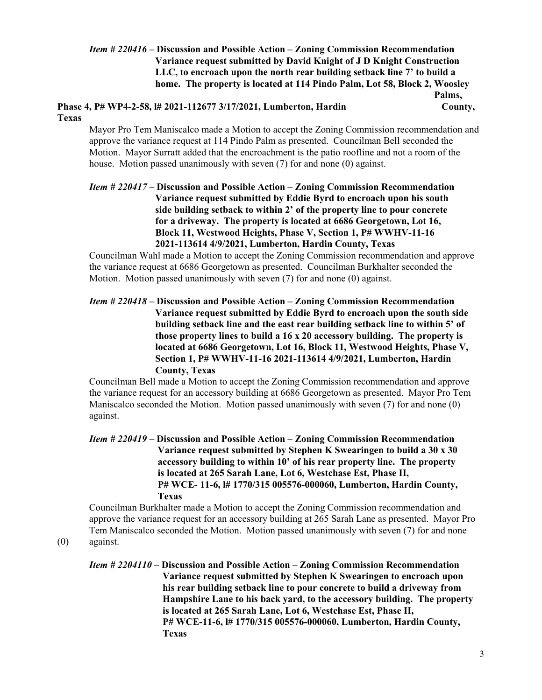## Item # 220416 – Discussion and Possible Action – Zoning Commission Recommendation Variance request submitted by David Knight of J D Knight Construction LLC, to encroach upon the north rear building setback line 7' to build a home. The property is located at 114 Pindo Palm, Lot 58, Block 2, Woosley Palms,

Phase 4, P# WP4-2-58, l# 2021-112677 3/17/2021, Lumberton, Hardin County, Texas

Mayor Pro Tem Maniscalco made a Motion to accept the Zoning Commission recommendation and approve the variance request at 114 Pindo Palm as presented. Councilman Bell seconded the Motion. Mayor Surratt added that the encroachment is the patio roofline and not a room of the house. Motion passed unanimously with seven (7) for and none (0) against.

 Item # 220417 – Discussion and Possible Action – Zoning Commission Recommendation Variance request submitted by Eddie Byrd to encroach upon his south side building setback to within 2' of the property line to pour concrete for a driveway. The property is located at 6686 Georgetown, Lot 16, Block 11, Westwood Heights, Phase V, Section 1, P# WWHV-11-16 2021-113614 4/9/2021, Lumberton, Hardin County, Texas

Councilman Wahl made a Motion to accept the Zoning Commission recommendation and approve the variance request at 6686 Georgetown as presented. Councilman Burkhalter seconded the Motion. Motion passed unanimously with seven (7) for and none (0) against.

Item # 220418 – Discussion and Possible Action – Zoning Commission Recommendation Variance request submitted by Eddie Byrd to encroach upon the south side building setback line and the east rear building setback line to within 5' of those property lines to build a 16 x 20 accessory building. The property is located at 6686 Georgetown, Lot 16, Block 11, Westwood Heights, Phase V, Section 1, P# WWHV-11-16 2021-113614 4/9/2021, Lumberton, Hardin County, Texas

 Councilman Bell made a Motion to accept the Zoning Commission recommendation and approve the variance request for an accessory building at 6686 Georgetown as presented. Mayor Pro Tem Maniscalco seconded the Motion. Motion passed unanimously with seven (7) for and none (0) against.

Item # 220419 – Discussion and Possible Action – Zoning Commission Recommendation Variance request submitted by Stephen K Swearingen to build a 30 x 30 accessory building to within 10' of his rear property line. The property is located at 265 Sarah Lane, Lot 6, Westchase Est, Phase II, P# WCE- 11-6, l# 1770/315 005576-000060, Lumberton, Hardin County, Texas

Councilman Burkhalter made a Motion to accept the Zoning Commission recommendation and approve the variance request for an accessory building at 265 Sarah Lane as presented. Mayor Pro Tem Maniscalco seconded the Motion. Motion passed unanimously with seven (7) for and none (0) against.

Item # 2204110 – Discussion and Possible Action – Zoning Commission Recommendation Variance request submitted by Stephen K Swearingen to encroach upon his rear building setback line to pour concrete to build a driveway from Hampshire Lane to his back yard, to the accessory building. The property is located at 265 Sarah Lane, Lot 6, Westchase Est, Phase II, P# WCE-11-6, l# 1770/315 005576-000060, Lumberton, Hardin County, Texas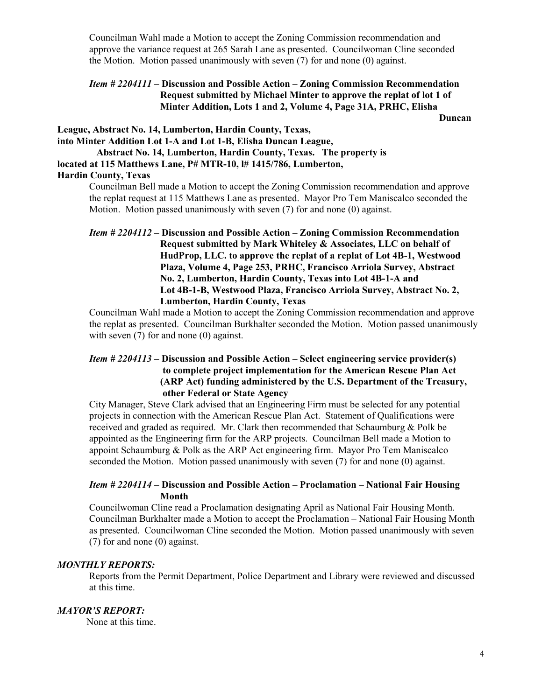Councilman Wahl made a Motion to accept the Zoning Commission recommendation and approve the variance request at 265 Sarah Lane as presented. Councilwoman Cline seconded the Motion. Motion passed unanimously with seven (7) for and none (0) against.

# Item # 2204111 – Discussion and Possible Action – Zoning Commission Recommendation Request submitted by Michael Minter to approve the replat of lot 1 of Minter Addition, Lots 1 and 2, Volume 4, Page 31A, PRHC, Elisha

**Duncan** 

League, Abstract No. 14, Lumberton, Hardin County, Texas, into Minter Addition Lot 1-A and Lot 1-B, Elisha Duncan League, Abstract No. 14, Lumberton, Hardin County, Texas. The property is located at 115 Matthews Lane, P# MTR-10, l# 1415/786, Lumberton, Hardin County, Texas

Councilman Bell made a Motion to accept the Zoning Commission recommendation and approve the replat request at 115 Matthews Lane as presented. Mayor Pro Tem Maniscalco seconded the Motion. Motion passed unanimously with seven (7) for and none (0) against.

Councilman Wahl made a Motion to accept the Zoning Commission recommendation and approve the replat as presented. Councilman Burkhalter seconded the Motion. Motion passed unanimously with seven (7) for and none (0) against.

## Item # 2204113 – Discussion and Possible Action – Select engineering service provider(s) to complete project implementation for the American Rescue Plan Act (ARP Act) funding administered by the U.S. Department of the Treasury, other Federal or State Agency

City Manager, Steve Clark advised that an Engineering Firm must be selected for any potential projects in connection with the American Rescue Plan Act. Statement of Qualifications were received and graded as required. Mr. Clark then recommended that Schaumburg & Polk be appointed as the Engineering firm for the ARP projects. Councilman Bell made a Motion to appoint Schaumburg & Polk as the ARP Act engineering firm. Mayor Pro Tem Maniscalco seconded the Motion. Motion passed unanimously with seven (7) for and none (0) against.

### Item # 2204114 – Discussion and Possible Action – Proclamation – National Fair Housing Month

Councilwoman Cline read a Proclamation designating April as National Fair Housing Month. Councilman Burkhalter made a Motion to accept the Proclamation – National Fair Housing Month as presented. Councilwoman Cline seconded the Motion. Motion passed unanimously with seven (7) for and none (0) against.

### MONTHLY REPORTS:

 Reports from the Permit Department, Police Department and Library were reviewed and discussed at this time.

### MAYOR'S REPORT:

None at this time.

Item # 2204112 – Discussion and Possible Action – Zoning Commission Recommendation Request submitted by Mark Whiteley & Associates, LLC on behalf of HudProp, LLC. to approve the replat of a replat of Lot 4B-1, Westwood Plaza, Volume 4, Page 253, PRHC, Francisco Arriola Survey, Abstract No. 2, Lumberton, Hardin County, Texas into Lot 4B-1-A and Lot 4B-1-B, Westwood Plaza, Francisco Arriola Survey, Abstract No. 2, Lumberton, Hardin County, Texas